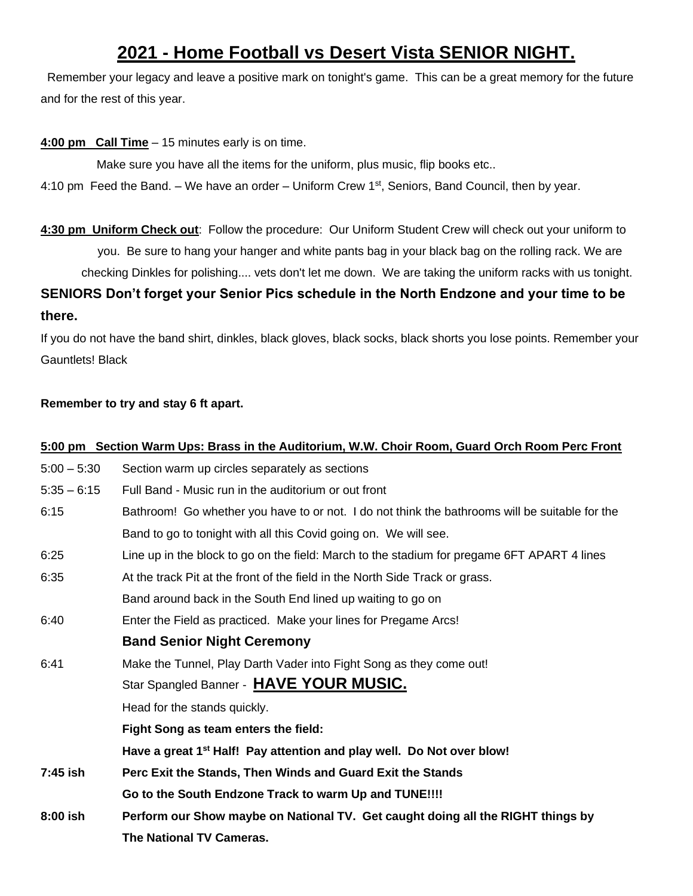# **2021 - Home Football vs Desert Vista SENIOR NIGHT.**

Remember your legacy and leave a positive mark on tonight's game. This can be a great memory for the future and for the rest of this year.

**4:00 pm Call Time** – 15 minutes early is on time.

Make sure you have all the items for the uniform, plus music, flip books etc..

4:10 pm Feed the Band. – We have an order – Uniform Crew 1<sup>st</sup>, Seniors, Band Council, then by year.

**4:30 pm Uniform Check out**: Follow the procedure: Our Uniform Student Crew will check out your uniform to you. Be sure to hang your hanger and white pants bag in your black bag on the rolling rack. We are checking Dinkles for polishing.... vets don't let me down. We are taking the uniform racks with us tonight.

**SENIORS Don't forget your Senior Pics schedule in the North Endzone and your time to be there.**

If you do not have the band shirt, dinkles, black gloves, black socks, black shorts you lose points. Remember your Gauntlets! Black

## **Remember to try and stay 6 ft apart.**

|               | 5:00 pm Section Warm Ups: Brass in the Auditorium, W.W. Choir Room, Guard Orch Room Perc Front |
|---------------|------------------------------------------------------------------------------------------------|
| $5:00 - 5:30$ | Section warm up circles separately as sections                                                 |
| $5:35 - 6:15$ | Full Band - Music run in the auditorium or out front                                           |
| 6:15          | Bathroom! Go whether you have to or not. I do not think the bathrooms will be suitable for the |
|               | Band to go to tonight with all this Covid going on. We will see.                               |
| 6:25          | Line up in the block to go on the field: March to the stadium for pregame 6FT APART 4 lines    |
| 6:35          | At the track Pit at the front of the field in the North Side Track or grass.                   |
|               | Band around back in the South End lined up waiting to go on                                    |
| 6:40          | Enter the Field as practiced. Make your lines for Pregame Arcs!                                |
|               | <b>Band Senior Night Ceremony</b>                                                              |
| 6:41          | Make the Tunnel, Play Darth Vader into Fight Song as they come out!                            |
|               | Star Spangled Banner - HAVE YOUR MUSIC.                                                        |
|               | Head for the stands quickly.                                                                   |
|               | Fight Song as team enters the field:                                                           |
|               | Have a great 1 <sup>st</sup> Half! Pay attention and play well. Do Not over blow!              |
| 7:45 ish      | Perc Exit the Stands, Then Winds and Guard Exit the Stands                                     |
|               | Go to the South Endzone Track to warm Up and TUNE!!!!                                          |
| 8:00 ish      | Perform our Show maybe on National TV. Get caught doing all the RIGHT things by                |
|               | <b>The National TV Cameras.</b>                                                                |